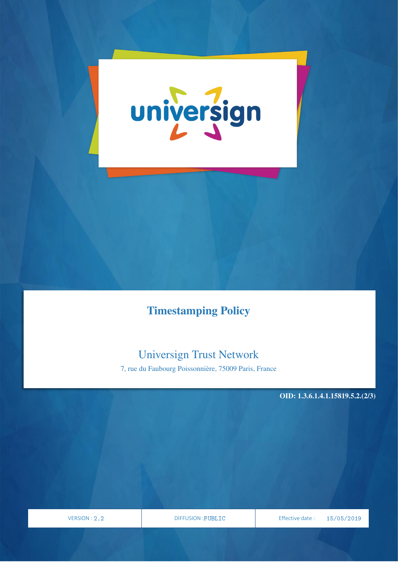

# Timestamping Policy

# Universign Trust Network

7, rue du Faubourg Poissonnière, 75009 Paris, France

OID: 1.3.6.1.4.1.15819.5.2.(2/3)

VERSION

PAGE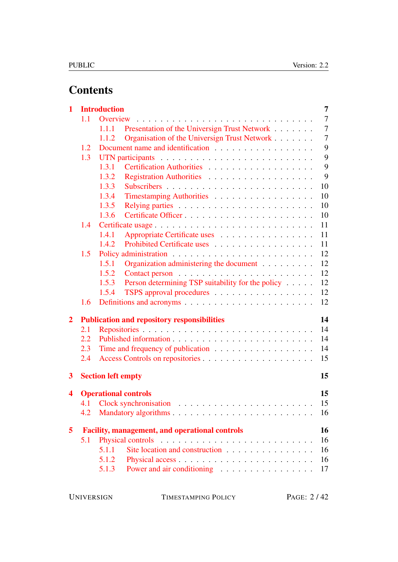# **Contents**

| $\mathbf{1}$   |     | $\overline{7}$<br><b>Introduction</b>                                                                                                                    |
|----------------|-----|----------------------------------------------------------------------------------------------------------------------------------------------------------|
|                | 1.1 | $\overline{7}$<br>Overview<br>.<br>$\mathbf{r}$ , $\mathbf{r}$ , $\mathbf{r}$ , $\mathbf{r}$ , $\mathbf{r}$ , $\mathbf{r}$ , $\mathbf{r}$ , $\mathbf{r}$ |
|                |     | Presentation of the Universign Trust Network<br>7<br>1.1.1                                                                                               |
|                |     | $\overline{7}$<br>Organisation of the Universign Trust Network<br>1.1.2                                                                                  |
|                | 1.2 | 9                                                                                                                                                        |
|                | 1.3 | 9                                                                                                                                                        |
|                |     | 9<br>Certification Authorities<br>1.3.1                                                                                                                  |
|                |     | 9<br>1.3.2                                                                                                                                               |
|                |     | 10<br>1.3.3                                                                                                                                              |
|                |     | 10<br>1.3.4<br>Timestamping Authorities                                                                                                                  |
|                |     | 10<br>1.3.5                                                                                                                                              |
|                |     | Certificate Officer<br>10<br>1.3.6                                                                                                                       |
|                | 1.4 | 11<br>Certificate usage                                                                                                                                  |
|                |     | 1.4.1<br>Appropriate Certificate uses<br>11                                                                                                              |
|                |     | 11<br>1.4.2<br>Prohibited Certificate uses                                                                                                               |
|                | 1.5 | 12                                                                                                                                                       |
|                |     | 12<br>1.5.1<br>Organization administering the document                                                                                                   |
|                |     | 12<br>1.5.2                                                                                                                                              |
|                |     | Person determining TSP suitability for the policy<br>12<br>1.5.3                                                                                         |
|                |     | TSPS approval procedures<br>12<br>1.5.4                                                                                                                  |
|                | 1.6 | 12                                                                                                                                                       |
| $\overline{2}$ |     | 14<br><b>Publication and repository responsibilities</b>                                                                                                 |
|                | 2.1 | 14                                                                                                                                                       |
|                | 2.2 | 14                                                                                                                                                       |
|                | 2.3 | 14                                                                                                                                                       |
|                | 2.4 | 15                                                                                                                                                       |
| 3              |     | <b>Section left empty</b><br>15                                                                                                                          |
| 4              |     | <b>Operational controls</b><br>15                                                                                                                        |
|                |     | 15<br>4.1 Clock synchronisation                                                                                                                          |
|                | 4.2 | 16                                                                                                                                                       |
| 5              |     | 16<br><b>Facility, management, and operational controls</b>                                                                                              |
|                | 5.1 | 16                                                                                                                                                       |
|                |     | 5.1.1<br>Site location and construction<br>16                                                                                                            |
|                |     | 16<br>5.1.2                                                                                                                                              |
|                |     | 5.1.3<br>17                                                                                                                                              |
|                |     |                                                                                                                                                          |

TIMESTAMPING POLICY PAGE: 2/42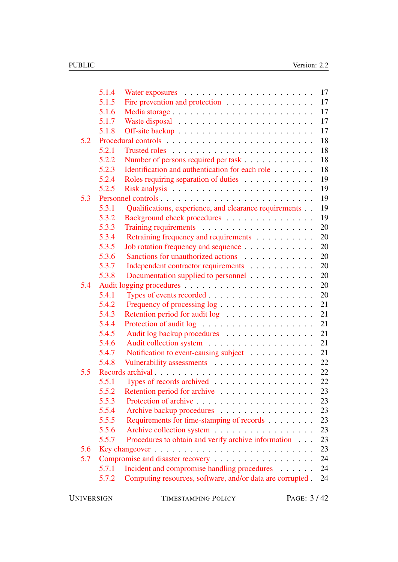|     | 5.1.4 |                                                           | 17 |
|-----|-------|-----------------------------------------------------------|----|
|     | 5.1.5 | Fire prevention and protection                            | 17 |
|     | 5.1.6 |                                                           | 17 |
|     | 5.1.7 |                                                           | 17 |
|     | 5.1.8 |                                                           | 17 |
| 5.2 |       |                                                           | 18 |
|     | 5.2.1 |                                                           | 18 |
|     | 5.2.2 | Number of persons required per task                       | 18 |
|     | 5.2.3 | Identification and authentication for each role           | 18 |
|     | 5.2.4 | Roles requiring separation of duties                      | 19 |
|     | 5.2.5 |                                                           | 19 |
| 5.3 |       |                                                           | 19 |
|     | 5.3.1 | Qualifications, experience, and clearance requirements    | 19 |
|     | 5.3.2 | Background check procedures                               | 19 |
|     | 5.3.3 |                                                           | 20 |
|     | 5.3.4 | Retraining frequency and requirements                     | 20 |
|     | 5.3.5 | Job rotation frequency and sequence                       | 20 |
|     | 5.3.6 | Sanctions for unauthorized actions                        | 20 |
|     | 5.3.7 | Independent contractor requirements                       | 20 |
|     | 5.3.8 | Documentation supplied to personnel                       | 20 |
| 5.4 |       |                                                           | 20 |
|     | 5.4.1 |                                                           | 20 |
|     | 5.4.2 | Frequency of processing log                               | 21 |
|     | 5.4.3 | Retention period for audit log                            | 21 |
|     | 5.4.4 |                                                           | 21 |
|     | 5.4.5 | Audit log backup procedures                               | 21 |
|     | 5.4.6 |                                                           | 21 |
|     | 5.4.7 | Notification to event-causing subject                     | 21 |
|     | 5.4.8 | Vulnerability assessments                                 | 22 |
| 5.5 |       |                                                           | 22 |
|     | 5.5.1 | Types of records archived                                 | 22 |
|     | 5.5.2 | Retention period for archive                              | 23 |
|     | 5.5.3 |                                                           | 23 |
|     | 5.5.4 | Archive backup procedures                                 | 23 |
|     | 5.5.5 | Requirements for time-stamping of records                 | 23 |
|     | 5.5.6 | Archive collection system                                 | 23 |
|     | 5.5.7 | Procedures to obtain and verify archive information       | 23 |
| 5.6 |       |                                                           | 23 |
| 5.7 |       |                                                           | 24 |
|     | 5.7.1 | Incident and compromise handling procedures               | 24 |
|     | 5.7.2 | Computing resources, software, and/or data are corrupted. | 24 |
|     |       |                                                           |    |

UNIVERSIGN TIMESTAMPING POLICY PAGE: 3/42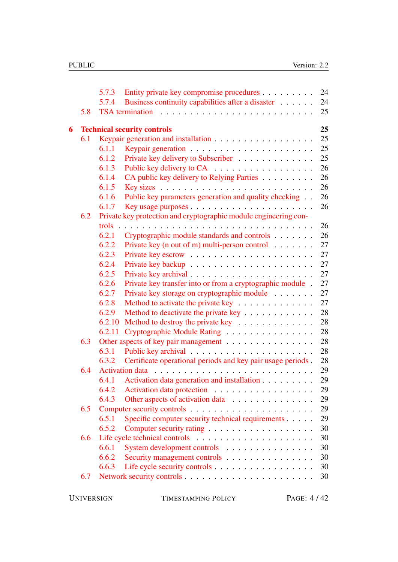|   |     | 5.7.3  | Entity private key compromise procedures                         | 24 |
|---|-----|--------|------------------------------------------------------------------|----|
|   |     | 5.7.4  | Business continuity capabilities after a disaster                | 24 |
|   | 5.8 |        | <b>TSA</b> termination                                           | 25 |
| 6 |     |        | <b>Technical security controls</b>                               | 25 |
|   | 6.1 |        |                                                                  | 25 |
|   |     | 6.1.1  |                                                                  | 25 |
|   |     | 6.1.2  | Private key delivery to Subscriber                               | 25 |
|   |     | 6.1.3  | Public key delivery to CA                                        | 26 |
|   |     | 6.1.4  | CA public key delivery to Relying Parties                        | 26 |
|   |     | 6.1.5  |                                                                  | 26 |
|   |     | 6.1.6  | Public key parameters generation and quality checking            | 26 |
|   |     | 6.1.7  |                                                                  | 26 |
|   | 6.2 |        | Private key protection and cryptographic module engineering con- |    |
|   |     | trols  |                                                                  | 26 |
|   |     | 6.2.1  | Cryptographic module standards and controls                      | 26 |
|   |     | 6.2.2  | Private key (n out of m) multi-person control $\dots \dots$      | 27 |
|   |     | 6.2.3  |                                                                  | 27 |
|   |     | 6.2.4  |                                                                  | 27 |
|   |     | 6.2.5  |                                                                  | 27 |
|   |     | 6.2.6  | Private key transfer into or from a cryptographic module.        | 27 |
|   |     | 6.2.7  | Private key storage on cryptographic module                      | 27 |
|   |     | 6.2.8  | Method to activate the private key                               | 27 |
|   |     | 6.2.9  | Method to deactivate the private key                             | 28 |
|   |     | 6.2.10 | Method to destroy the private key                                | 28 |
|   |     | 6.2.11 | Cryptographic Module Rating                                      | 28 |
|   | 6.3 |        | Other aspects of key pair management                             | 28 |
|   |     | 6.3.1  |                                                                  | 28 |
|   |     | 6.3.2  | Certificate operational periods and key pair usage periods.      | 28 |
|   | 6.4 |        | <b>Activation</b> data                                           | 29 |
|   |     | 6.4.1  | Activation data generation and installation                      | 29 |
|   |     | 6.4.2  | Activation data protection                                       | 29 |
|   |     | 6.4.3  | Other aspects of activation data                                 | 29 |
|   | 6.5 |        |                                                                  | 29 |
|   |     | 6.5.1  | Specific computer security technical requirements                | 29 |
|   |     | 6.5.2  |                                                                  | 30 |
|   | 6.6 |        |                                                                  | 30 |
|   |     | 6.6.1  | System development controls                                      | 30 |
|   |     | 6.6.2  | Security management controls                                     | 30 |
|   |     | 6.6.3  | Life cycle security controls                                     | 30 |
|   | 6.7 |        |                                                                  | 30 |

UNIVERSIGN TIMESTAMPING POLICY PAGE: 4/42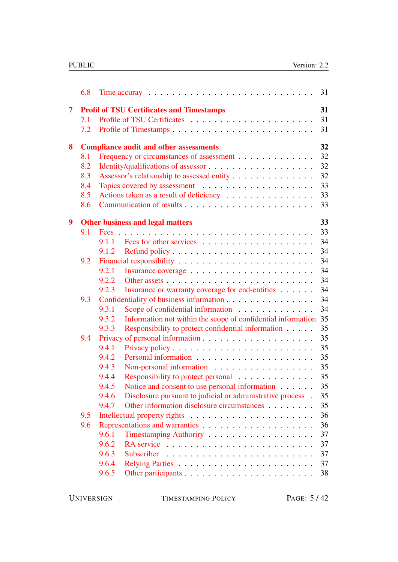|                | 6.8 | 31<br>Time accuray $\ldots \ldots \ldots \ldots \ldots \ldots \ldots \ldots \ldots$ |
|----------------|-----|-------------------------------------------------------------------------------------|
| $\overline{7}$ |     | 31<br><b>Profil of TSU Certificates and Timestamps</b>                              |
|                | 7.1 | 31                                                                                  |
|                | 7.2 | 31                                                                                  |
| 8              |     | 32<br><b>Compliance audit and other assessments</b>                                 |
|                | 8.1 | 32<br>Frequency or circumstances of assessment                                      |
|                | 8.2 | 32                                                                                  |
|                | 8.3 | 32<br>Assessor's relationship to assessed entity                                    |
|                | 8.4 | 33                                                                                  |
|                | 8.5 | 33<br>Actions taken as a result of deficiency                                       |
|                | 8.6 | 33                                                                                  |
| 9              |     | 33<br><b>Other business and legal matters</b>                                       |
|                | 9.1 | 33                                                                                  |
|                |     | 34<br>9.1.1                                                                         |
|                |     | 34<br>9.1.2                                                                         |
|                | 9.2 | 34                                                                                  |
|                |     | 34<br>9.2.1                                                                         |
|                |     | 34<br>9.2.2                                                                         |
|                |     | 34<br>Insurance or warranty coverage for end-entities<br>9.2.3                      |
|                | 9.3 | 34<br>Confidentiality of business information                                       |
|                |     | 34<br>9.3.1<br>Scope of confidential information                                    |
|                |     | Information not within the scope of confidential information 35<br>9.3.2            |
|                |     | 35<br>Responsibility to protect confidential information<br>9.3.3                   |
|                | 9.4 | 35                                                                                  |
|                |     | 35<br>9.4.1                                                                         |
|                |     | 35<br>9.4.2                                                                         |
|                |     | 35<br>9.4.3                                                                         |
|                |     | 35<br>9.4.4<br>Responsibility to protect personal                                   |
|                |     | Notice and consent to use personal information $\ldots$ 35<br>9.4.5                 |
|                |     | Disclosure pursuant to judicial or administrative process.<br>35<br>9.4.6           |
|                |     | Other information disclosure circumstances<br>9.4.7<br>35                           |
|                | 9.5 | 36                                                                                  |
|                | 9.6 | 36                                                                                  |
|                |     | 37<br>9.6.1                                                                         |
|                |     | 9.6.2<br>37                                                                         |
|                |     | 9.6.3<br>37<br>Subscriber                                                           |
|                |     | 9.6.4<br>37                                                                         |
|                |     | 9.6.5<br>38                                                                         |
|                |     |                                                                                     |

UNIVERSIGN TIMESTAMPING POLICY PAGE: 5/42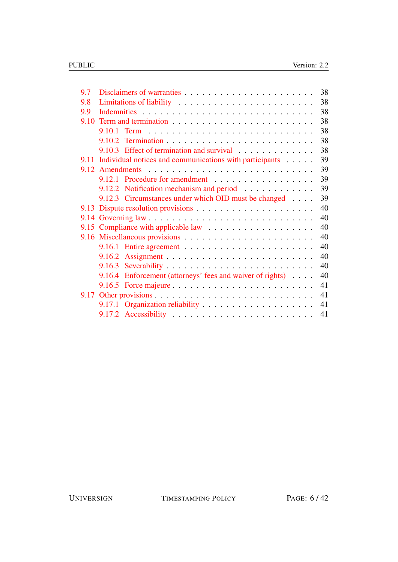| 9.7 |                                                                                     | 38 |
|-----|-------------------------------------------------------------------------------------|----|
| 9.8 |                                                                                     | 38 |
| 9.9 |                                                                                     | 38 |
|     | 9.10 Term and termination $\ldots \ldots \ldots \ldots \ldots \ldots \ldots \ldots$ | 38 |
|     |                                                                                     | 38 |
|     |                                                                                     | 38 |
|     | 9.10.3 Effect of termination and survival                                           | 38 |
|     | 9.11 Individual notices and communications with participants                        | 39 |
|     | 9.12 Amendments                                                                     | 39 |
|     | 9.12.1 Procedure for amendment                                                      | 39 |
|     | 9.12.2 Notification mechanism and period                                            | 39 |
|     | 9.12.3 Circumstances under which OID must be changed                                | 39 |
|     |                                                                                     | 40 |
|     |                                                                                     | 40 |
|     |                                                                                     | 40 |
|     |                                                                                     | 40 |
|     | 9.16.1 Entire agreement $\ldots \ldots \ldots \ldots \ldots \ldots \ldots$          | 40 |
|     | 9.16.2                                                                              | 40 |
|     |                                                                                     | 40 |
|     |                                                                                     | 40 |
|     | 9.16.4 Enforcement (attorneys' fees and waiver of rights)                           |    |
|     |                                                                                     | 41 |
|     |                                                                                     | 41 |
|     |                                                                                     | 41 |
|     |                                                                                     | 41 |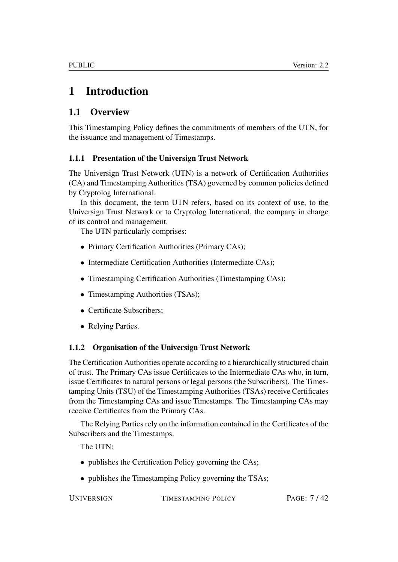# <span id="page-6-0"></span>1 Introduction

# <span id="page-6-1"></span>1.1 Overview

This Timestamping Policy defines the commitments of members of the UTN, for the issuance and management of Timestamps.

## <span id="page-6-2"></span>1.1.1 Presentation of the Universign Trust Network

The Universign Trust Network (UTN) is a network of Certification Authorities (CA) and Timestamping Authorities (TSA) governed by common policies defined by Cryptolog International.

In this document, the term UTN refers, based on its context of use, to the Universign Trust Network or to Cryptolog International, the company in charge of its control and management.

The UTN particularly comprises:

- Primary Certification Authorities (Primary CAs);
- Intermediate Certification Authorities (Intermediate CAs);
- Timestamping Certification Authorities (Timestamping CAs);
- Timestamping Authorities (TSAs);
- Certificate Subscribers;
- Relying Parties.

## <span id="page-6-3"></span>1.1.2 Organisation of the Universign Trust Network

The Certification Authorities operate according to a hierarchically structured chain of trust. The Primary CAs issue Certificates to the Intermediate CAs who, in turn, issue Certificates to natural persons or legal persons (the Subscribers). The Timestamping Units (TSU) of the Timestamping Authorities (TSAs) receive Certificates from the Timestamping CAs and issue Timestamps. The Timestamping CAs may receive Certificates from the Primary CAs.

The Relying Parties rely on the information contained in the Certificates of the Subscribers and the Timestamps.

The UTN:

- publishes the Certification Policy governing the CAs;
- publishes the Timestamping Policy governing the TSAs;

UNIVERSIGN TIMESTAMPING POLICY PAGE:  $7/42$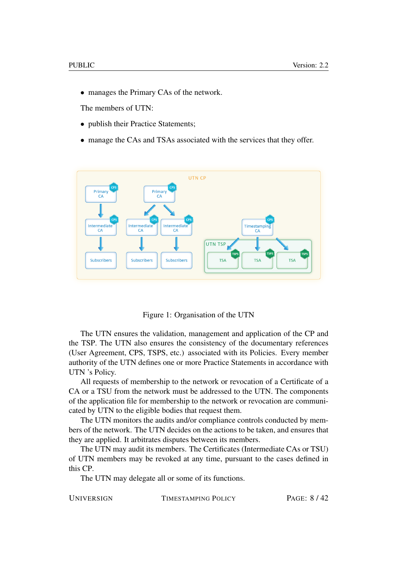• manages the Primary CAs of the network.

The members of UTN:

- publish their Practice Statements;
- manage the CAs and TSAs associated with the services that they offer.



Figure 1: Organisation of the UTN

The UTN ensures the validation, management and application of the CP and the TSP. The UTN also ensures the consistency of the documentary references (User Agreement, CPS, TSPS, etc.) associated with its Policies. Every member authority of the UTN defines one or more Practice Statements in accordance with UTN 's Policy.

All requests of membership to the network or revocation of a Certificate of a CA or a TSU from the network must be addressed to the UTN. The components of the application file for membership to the network or revocation are communicated by UTN to the eligible bodies that request them.

The UTN monitors the audits and/or compliance controls conducted by members of the network. The UTN decides on the actions to be taken, and ensures that they are applied. It arbitrates disputes between its members.

The UTN may audit its members. The Certificates (Intermediate CAs or TSU) of UTN members may be revoked at any time, pursuant to the cases defined in this CP.

The UTN may delegate all or some of its functions.

UNIVERSIGN TIMESTAMPING POLICY PAGE:  $8/42$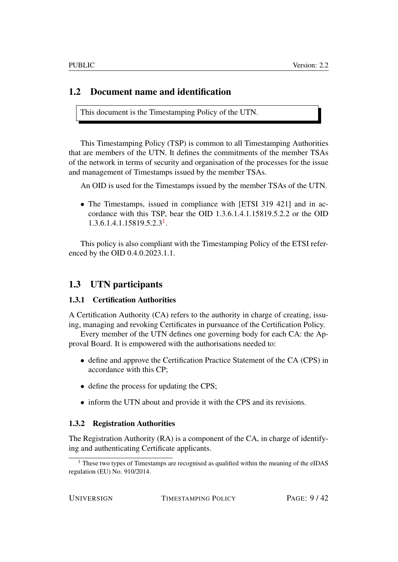## <span id="page-8-0"></span>1.2 Document name and identification

This document is the Timestamping Policy of the UTN.

This Timestamping Policy (TSP) is common to all Timestamping Authorities that are members of the UTN. It defines the commitments of the member TSAs of the network in terms of security and organisation of the processes for the issue and management of Timestamps issued by the member TSAs.

An OID is used for the Timestamps issued by the member TSAs of the UTN.

• The Timestamps, issued in compliance with [ETSI 319 421] and in accordance with this TSP, bear the OID 1.3.6.1.4.1.15819.5.2.2 or the OID 1.3.6.1.4.1.15819.5.2.3[1](#page-8-4) .

This policy is also compliant with the Timestamping Policy of the ETSI referenced by the OID 0.4.0.2023.1.1.

## <span id="page-8-1"></span>1.3 UTN participants

#### <span id="page-8-2"></span>1.3.1 Certification Authorities

A Certification Authority (CA) refers to the authority in charge of creating, issuing, managing and revoking Certificates in pursuance of the Certification Policy.

Every member of the UTN defines one governing body for each CA: the Approval Board. It is empowered with the authorisations needed to:

- define and approve the Certification Practice Statement of the CA (CPS) in accordance with this CP;
- define the process for updating the CPS;
- inform the UTN about and provide it with the CPS and its revisions.

#### <span id="page-8-3"></span>1.3.2 Registration Authorities

The Registration Authority (RA) is a component of the CA, in charge of identifying and authenticating Certificate applicants.

UNIVERSIGN TIMESTAMPING POLICY PAGE:  $9/42$ 

<span id="page-8-4"></span><sup>&</sup>lt;sup>1</sup> These two types of Timestamps are recognised as qualified within the meaning of the eIDAS regulation (EU) No. 910/2014.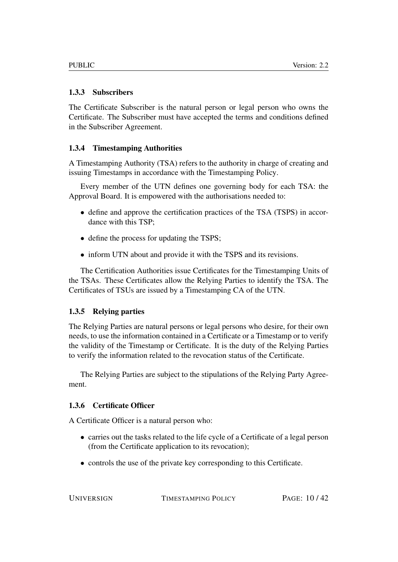#### <span id="page-9-0"></span>1.3.3 Subscribers

The Certificate Subscriber is the natural person or legal person who owns the Certificate. The Subscriber must have accepted the terms and conditions defined in the Subscriber Agreement.

## <span id="page-9-1"></span>1.3.4 Timestamping Authorities

A Timestamping Authority (TSA) refers to the authority in charge of creating and issuing Timestamps in accordance with the Timestamping Policy.

Every member of the UTN defines one governing body for each TSA: the Approval Board. It is empowered with the authorisations needed to:

- define and approve the certification practices of the TSA (TSPS) in accordance with this TSP;
- define the process for updating the TSPS;
- inform UTN about and provide it with the TSPS and its revisions.

The Certification Authorities issue Certificates for the Timestamping Units of the TSAs. These Certificates allow the Relying Parties to identify the TSA. The Certificates of TSUs are issued by a Timestamping CA of the UTN.

#### <span id="page-9-2"></span>1.3.5 Relying parties

The Relying Parties are natural persons or legal persons who desire, for their own needs, to use the information contained in a Certificate or a Timestamp or to verify the validity of the Timestamp or Certificate. It is the duty of the Relying Parties to verify the information related to the revocation status of the Certificate.

The Relying Parties are subject to the stipulations of the Relying Party Agreement.

#### <span id="page-9-3"></span>1.3.6 Certificate Officer

A Certificate Officer is a natural person who:

- carries out the tasks related to the life cycle of a Certificate of a legal person (from the Certificate application to its revocation);
- controls the use of the private key corresponding to this Certificate.

UNIVERSIGN TIMESTAMPING POLICY PAGE: 10/42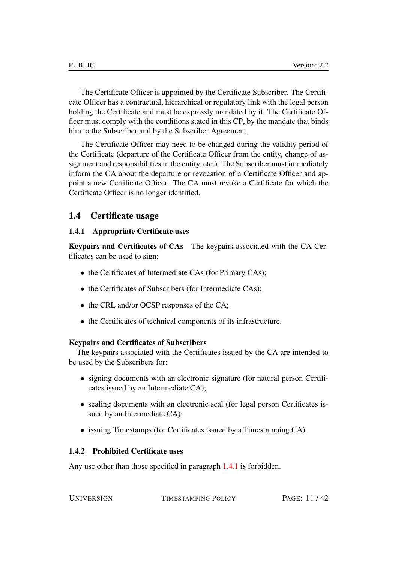The Certificate Officer is appointed by the Certificate Subscriber. The Certificate Officer has a contractual, hierarchical or regulatory link with the legal person holding the Certificate and must be expressly mandated by it. The Certificate Officer must comply with the conditions stated in this CP, by the mandate that binds him to the Subscriber and by the Subscriber Agreement.

The Certificate Officer may need to be changed during the validity period of the Certificate (departure of the Certificate Officer from the entity, change of assignment and responsibilities in the entity, etc.). The Subscriber must immediately inform the CA about the departure or revocation of a Certificate Officer and appoint a new Certificate Officer. The CA must revoke a Certificate for which the Certificate Officer is no longer identified.

#### <span id="page-10-0"></span>1.4 Certificate usage

#### <span id="page-10-1"></span>1.4.1 Appropriate Certificate uses

Keypairs and Certificates of CAs The keypairs associated with the CA Certificates can be used to sign:

- the Certificates of Intermediate CAs (for Primary CAs);
- the Certificates of Subscribers (for Intermediate CAs);
- the CRL and/or OCSP responses of the CA;
- the Certificates of technical components of its infrastructure.

#### Keypairs and Certificates of Subscribers

The keypairs associated with the Certificates issued by the CA are intended to be used by the Subscribers for:

- signing documents with an electronic signature (for natural person Certificates issued by an Intermediate CA);
- sealing documents with an electronic seal (for legal person Certificates issued by an Intermediate CA);
- issuing Timestamps (for Certificates issued by a Timestamping CA).

#### <span id="page-10-2"></span>1.4.2 Prohibited Certificate uses

Any use other than those specified in paragraph [1.4.1](#page-10-1) is forbidden.

UNIVERSIGN TIMESTAMPING POLICY PAGE: 11/42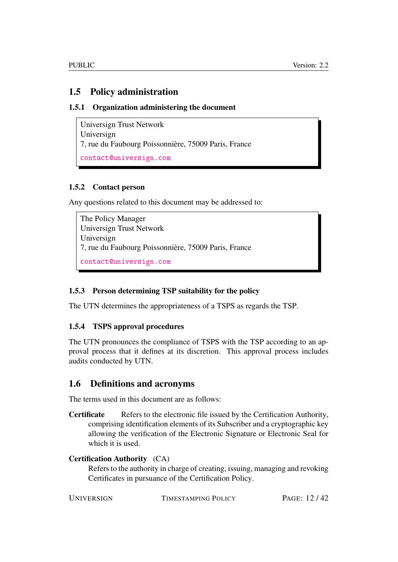## <span id="page-11-0"></span>1.5 Policy administration

#### <span id="page-11-1"></span>1.5.1 Organization administering the document

Universign Trust Network Universign 7, rue du Faubourg Poissonnière, 75009 Paris, France <contact@universign.com>

#### <span id="page-11-2"></span>1.5.2 Contact person

Any questions related to this document may be addressed to:

The Policy Manager Universign Trust Network Universign 7, rue du Faubourg Poissonnière, 75009 Paris, France <contact@universign.com>

#### <span id="page-11-3"></span>1.5.3 Person determining TSP suitability for the policy

The UTN determines the appropriateness of a TSPS as regards the TSP.

#### <span id="page-11-4"></span>1.5.4 TSPS approval procedures

The UTN pronounces the compliance of TSPS with the TSP according to an approval process that it defines at its discretion. This approval process includes audits conducted by UTN.

## <span id="page-11-5"></span>1.6 Definitions and acronyms

The terms used in this document are as follows:

Certificate Refers to the electronic file issued by the Certification Authority, comprising identification elements of its Subscriber and a cryptographic key allowing the verification of the Electronic Signature or Electronic Seal for which it is used.

#### Certification Authority (CA)

Refers to the authority in charge of creating, issuing, managing and revoking Certificates in pursuance of the Certification Policy.

UNIVERSIGN TIMESTAMPING POLICY PAGE: 12/42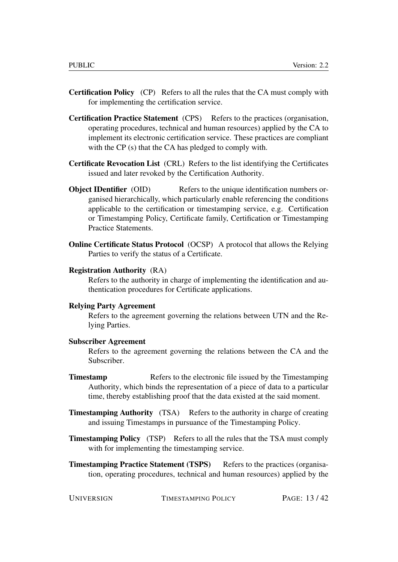- Certification Policy (CP) Refers to all the rules that the CA must comply with for implementing the certification service.
- Certification Practice Statement (CPS) Refers to the practices (organisation, operating procedures, technical and human resources) applied by the CA to implement its electronic certification service. These practices are compliant with the CP (s) that the CA has pledged to comply with.
- Certificate Revocation List (CRL) Refers to the list identifying the Certificates issued and later revoked by the Certification Authority.
- **Object IDentifier** (OID) Refers to the unique identification numbers organised hierarchically, which particularly enable referencing the conditions applicable to the certification or timestamping service, e.g. Certification or Timestamping Policy, Certificate family, Certification or Timestamping Practice Statements.
- Online Certificate Status Protocol (OCSP) A protocol that allows the Relying Parties to verify the status of a Certificate.

#### Registration Authority (RA)

Refers to the authority in charge of implementing the identification and authentication procedures for Certificate applications.

#### Relying Party Agreement

Refers to the agreement governing the relations between UTN and the Relying Parties.

#### Subscriber Agreement

Refers to the agreement governing the relations between the CA and the Subscriber.

- **Timestamp** Refers to the electronic file issued by the Timestamping Authority, which binds the representation of a piece of data to a particular time, thereby establishing proof that the data existed at the said moment.
- Timestamping Authority (TSA) Refers to the authority in charge of creating and issuing Timestamps in pursuance of the Timestamping Policy.
- Timestamping Policy (TSP) Refers to all the rules that the TSA must comply with for implementing the timestamping service.
- **Timestamping Practice Statement (TSPS)** Refers to the practices (organisation, operating procedures, technical and human resources) applied by the

| UNIVERSIGN | TIMESTAMPING POLICY | PAGE: 13/42 |
|------------|---------------------|-------------|
|------------|---------------------|-------------|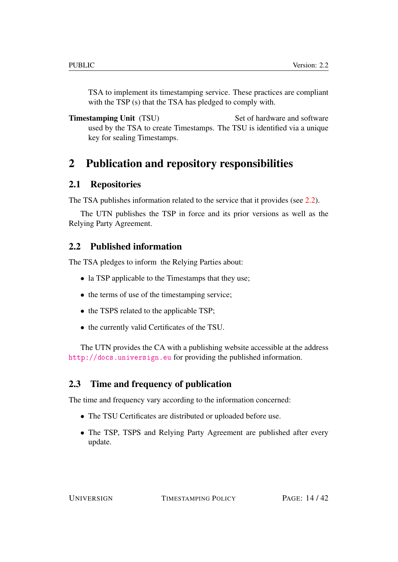TSA to implement its timestamping service. These practices are compliant with the TSP (s) that the TSA has pledged to comply with.

**Timestamping Unit** (TSU) Set of hardware and software used by the TSA to create Timestamps. The TSU is identified via a unique key for sealing Timestamps.

# <span id="page-13-0"></span>2 Publication and repository responsibilities

## <span id="page-13-1"></span>2.1 Repositories

The TSA publishes information related to the service that it provides (see [2.2\)](#page-13-2).

The UTN publishes the TSP in force and its prior versions as well as the Relying Party Agreement.

## <span id="page-13-2"></span>2.2 Published information

The TSA pledges to inform the Relying Parties about:

- la TSP applicable to the Timestamps that they use;
- the terms of use of the timestamping service;
- the TSPS related to the applicable TSP;
- the currently valid Certificates of the TSU.

The UTN provides the CA with a publishing website accessible at the address <http://docs.universign.eu> for providing the published information.

## <span id="page-13-3"></span>2.3 Time and frequency of publication

The time and frequency vary according to the information concerned:

- The TSU Certificates are distributed or uploaded before use.
- The TSP, TSPS and Relying Party Agreement are published after every update.

UNIVERSIGN TIMESTAMPING POLICY PAGE: 14/42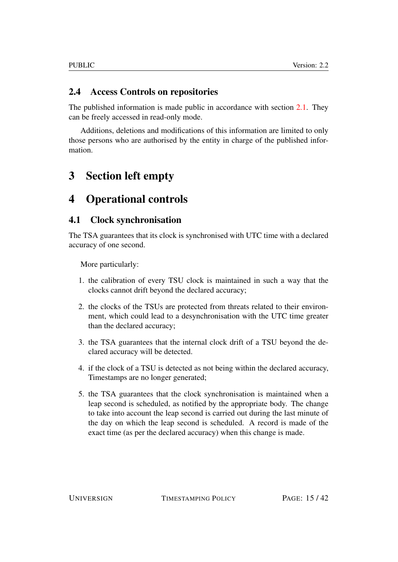## <span id="page-14-0"></span>2.4 Access Controls on repositories

The published information is made public in accordance with section [2.1.](#page-13-1) They can be freely accessed in read-only mode.

Additions, deletions and modifications of this information are limited to only those persons who are authorised by the entity in charge of the published information.

# <span id="page-14-1"></span>3 Section left empty

# <span id="page-14-2"></span>4 Operational controls

## <span id="page-14-3"></span>4.1 Clock synchronisation

The TSA guarantees that its clock is synchronised with UTC time with a declared accuracy of one second.

More particularly:

- 1. the calibration of every TSU clock is maintained in such a way that the clocks cannot drift beyond the declared accuracy;
- 2. the clocks of the TSUs are protected from threats related to their environment, which could lead to a desynchronisation with the UTC time greater than the declared accuracy;
- 3. the TSA guarantees that the internal clock drift of a TSU beyond the declared accuracy will be detected.
- 4. if the clock of a TSU is detected as not being within the declared accuracy, Timestamps are no longer generated;
- 5. the TSA guarantees that the clock synchronisation is maintained when a leap second is scheduled, as notified by the appropriate body. The change to take into account the leap second is carried out during the last minute of the day on which the leap second is scheduled. A record is made of the exact time (as per the declared accuracy) when this change is made.

UNIVERSIGN TIMESTAMPING POLICY PAGE: 15/42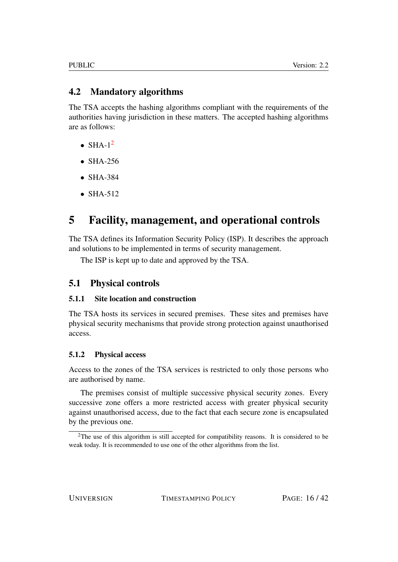## <span id="page-15-0"></span>4.2 Mandatory algorithms

The TSA accepts the hashing algorithms compliant with the requirements of the authorities having jurisdiction in these matters. The accepted hashing algorithms are as follows:

- $\bullet$  SHA-1<sup>[2](#page-15-5)</sup>
- SHA-256
- SHA-384
- SHA-512

# <span id="page-15-1"></span>5 Facility, management, and operational controls

The TSA defines its Information Security Policy (ISP). It describes the approach and solutions to be implemented in terms of security management.

The ISP is kept up to date and approved by the TSA.

## <span id="page-15-2"></span>5.1 Physical controls

#### <span id="page-15-3"></span>5.1.1 Site location and construction

The TSA hosts its services in secured premises. These sites and premises have physical security mechanisms that provide strong protection against unauthorised access.

#### <span id="page-15-4"></span>5.1.2 Physical access

Access to the zones of the TSA services is restricted to only those persons who are authorised by name.

The premises consist of multiple successive physical security zones. Every successive zone offers a more restricted access with greater physical security against unauthorised access, due to the fact that each secure zone is encapsulated by the previous one.

<span id="page-15-5"></span><sup>&</sup>lt;sup>2</sup>The use of this algorithm is still accepted for compatibility reasons. It is considered to be weak today. It is recommended to use one of the other algorithms from the list.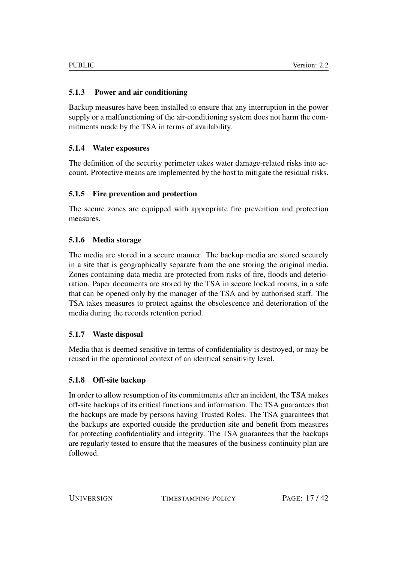#### <span id="page-16-0"></span>5.1.3 Power and air conditioning

Backup measures have been installed to ensure that any interruption in the power supply or a malfunctioning of the air-conditioning system does not harm the commitments made by the TSA in terms of availability.

## <span id="page-16-1"></span>5.1.4 Water exposures

The definition of the security perimeter takes water damage-related risks into account. Protective means are implemented by the host to mitigate the residual risks.

## <span id="page-16-2"></span>5.1.5 Fire prevention and protection

The secure zones are equipped with appropriate fire prevention and protection measures.

## <span id="page-16-3"></span>5.1.6 Media storage

The media are stored in a secure manner. The backup media are stored securely in a site that is geographically separate from the one storing the original media. Zones containing data media are protected from risks of fire, floods and deterioration. Paper documents are stored by the TSA in secure locked rooms, in a safe that can be opened only by the manager of the TSA and by authorised staff. The TSA takes measures to protect against the obsolescence and deterioration of the media during the records retention period.

#### <span id="page-16-4"></span>5.1.7 Waste disposal

Media that is deemed sensitive in terms of confidentiality is destroyed, or may be reused in the operational context of an identical sensitivity level.

#### <span id="page-16-5"></span>5.1.8 Off-site backup

In order to allow resumption of its commitments after an incident, the TSA makes off-site backups of its critical functions and information. The TSA guarantees that the backups are made by persons having Trusted Roles. The TSA guarantees that the backups are exported outside the production site and benefit from measures for protecting confidentiality and integrity. The TSA guarantees that the backups are regularly tested to ensure that the measures of the business continuity plan are followed.

UNIVERSIGN TIMESTAMPING POLICY PAGE: 17/42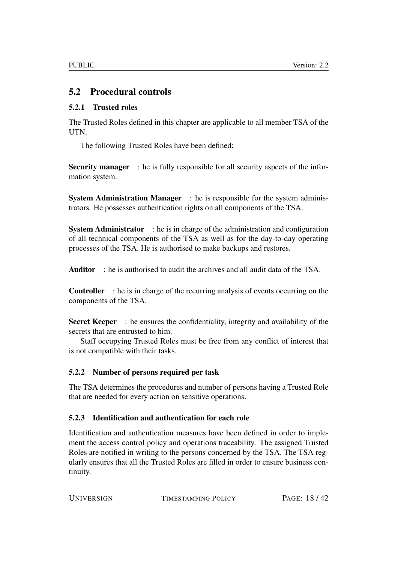## <span id="page-17-0"></span>5.2 Procedural controls

#### <span id="page-17-1"></span>5.2.1 Trusted roles

The Trusted Roles defined in this chapter are applicable to all member TSA of the UTN.

The following Trusted Roles have been defined:

Security manager : he is fully responsible for all security aspects of the information system.

System Administration Manager : he is responsible for the system administrators. He possesses authentication rights on all components of the TSA.

System Administrator : he is in charge of the administration and configuration of all technical components of the TSA as well as for the day-to-day operating processes of the TSA. He is authorised to make backups and restores.

Auditor : he is authorised to audit the archives and all audit data of the TSA.

Controller : he is in charge of the recurring analysis of events occurring on the components of the TSA.

Secret Keeper : he ensures the confidentiality, integrity and availability of the secrets that are entrusted to him.

Staff occupying Trusted Roles must be free from any conflict of interest that is not compatible with their tasks.

#### <span id="page-17-2"></span>5.2.2 Number of persons required per task

The TSA determines the procedures and number of persons having a Trusted Role that are needed for every action on sensitive operations.

#### <span id="page-17-3"></span>5.2.3 Identification and authentication for each role

Identification and authentication measures have been defined in order to implement the access control policy and operations traceability. The assigned Trusted Roles are notified in writing to the persons concerned by the TSA. The TSA regularly ensures that all the Trusted Roles are filled in order to ensure business continuity.

| <b>UNIVERSIGN</b> | TIMESTAMPING POLICY | PAGE: 18/42 |
|-------------------|---------------------|-------------|
|                   |                     |             |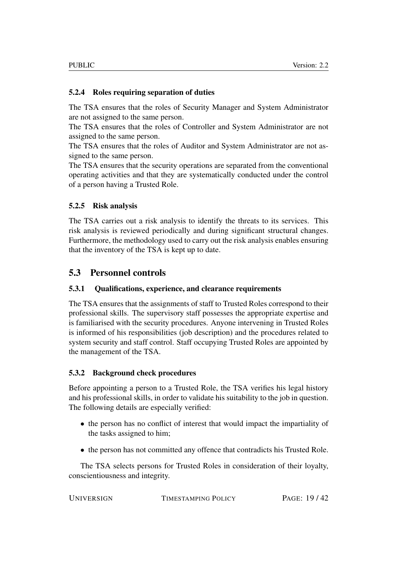#### <span id="page-18-0"></span>5.2.4 Roles requiring separation of duties

The TSA ensures that the roles of Security Manager and System Administrator are not assigned to the same person.

The TSA ensures that the roles of Controller and System Administrator are not assigned to the same person.

The TSA ensures that the roles of Auditor and System Administrator are not assigned to the same person.

The TSA ensures that the security operations are separated from the conventional operating activities and that they are systematically conducted under the control of a person having a Trusted Role.

#### <span id="page-18-1"></span>5.2.5 Risk analysis

The TSA carries out a risk analysis to identify the threats to its services. This risk analysis is reviewed periodically and during significant structural changes. Furthermore, the methodology used to carry out the risk analysis enables ensuring that the inventory of the TSA is kept up to date.

## <span id="page-18-2"></span>5.3 Personnel controls

#### <span id="page-18-3"></span>5.3.1 Qualifications, experience, and clearance requirements

The TSA ensures that the assignments of staff to Trusted Roles correspond to their professional skills. The supervisory staff possesses the appropriate expertise and is familiarised with the security procedures. Anyone intervening in Trusted Roles is informed of his responsibilities (job description) and the procedures related to system security and staff control. Staff occupying Trusted Roles are appointed by the management of the TSA.

#### <span id="page-18-4"></span>5.3.2 Background check procedures

Before appointing a person to a Trusted Role, the TSA verifies his legal history and his professional skills, in order to validate his suitability to the job in question. The following details are especially verified:

- the person has no conflict of interest that would impact the impartiality of the tasks assigned to him;
- the person has not committed any offence that contradicts his Trusted Role.

The TSA selects persons for Trusted Roles in consideration of their loyalty, conscientiousness and integrity.

| PAGE: 19/42 |
|-------------|
|             |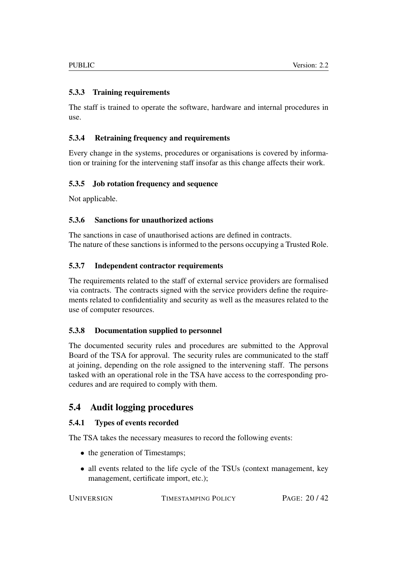#### <span id="page-19-0"></span>5.3.3 Training requirements

The staff is trained to operate the software, hardware and internal procedures in use.

#### <span id="page-19-1"></span>5.3.4 Retraining frequency and requirements

Every change in the systems, procedures or organisations is covered by information or training for the intervening staff insofar as this change affects their work.

#### <span id="page-19-2"></span>5.3.5 Job rotation frequency and sequence

Not applicable.

#### <span id="page-19-3"></span>5.3.6 Sanctions for unauthorized actions

The sanctions in case of unauthorised actions are defined in contracts. The nature of these sanctions is informed to the persons occupying a Trusted Role.

#### <span id="page-19-4"></span>5.3.7 Independent contractor requirements

The requirements related to the staff of external service providers are formalised via contracts. The contracts signed with the service providers define the requirements related to confidentiality and security as well as the measures related to the use of computer resources.

#### <span id="page-19-5"></span>5.3.8 Documentation supplied to personnel

The documented security rules and procedures are submitted to the Approval Board of the TSA for approval. The security rules are communicated to the staff at joining, depending on the role assigned to the intervening staff. The persons tasked with an operational role in the TSA have access to the corresponding procedures and are required to comply with them.

## <span id="page-19-6"></span>5.4 Audit logging procedures

#### <span id="page-19-7"></span>5.4.1 Types of events recorded

The TSA takes the necessary measures to record the following events:

- the generation of Timestamps;
- all events related to the life cycle of the TSUs (context management, key management, certificate import, etc.);

TIMESTAMPING POLICY PAGE: 20/42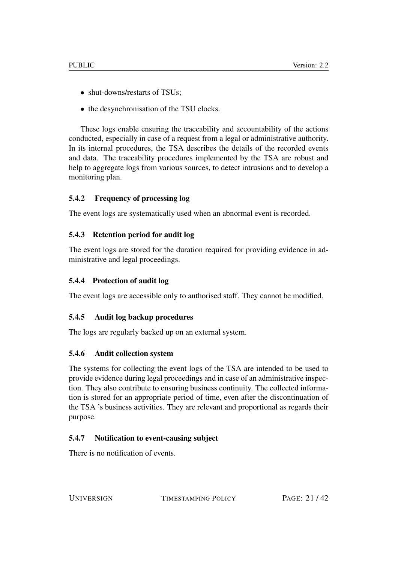- shut-downs/restarts of TSUs;
- the desynchronisation of the TSU clocks.

These logs enable ensuring the traceability and accountability of the actions conducted, especially in case of a request from a legal or administrative authority. In its internal procedures, the TSA describes the details of the recorded events and data. The traceability procedures implemented by the TSA are robust and help to aggregate logs from various sources, to detect intrusions and to develop a monitoring plan.

#### <span id="page-20-0"></span>5.4.2 Frequency of processing log

The event logs are systematically used when an abnormal event is recorded.

#### <span id="page-20-1"></span>5.4.3 Retention period for audit log

The event logs are stored for the duration required for providing evidence in administrative and legal proceedings.

#### <span id="page-20-2"></span>5.4.4 Protection of audit log

The event logs are accessible only to authorised staff. They cannot be modified.

#### <span id="page-20-3"></span>5.4.5 Audit log backup procedures

The logs are regularly backed up on an external system.

#### <span id="page-20-4"></span>5.4.6 Audit collection system

The systems for collecting the event logs of the TSA are intended to be used to provide evidence during legal proceedings and in case of an administrative inspection. They also contribute to ensuring business continuity. The collected information is stored for an appropriate period of time, even after the discontinuation of the TSA 's business activities. They are relevant and proportional as regards their purpose.

#### <span id="page-20-5"></span>5.4.7 Notification to event-causing subject

There is no notification of events.

UNIVERSIGN TIMESTAMPING POLICY PAGE: 21/42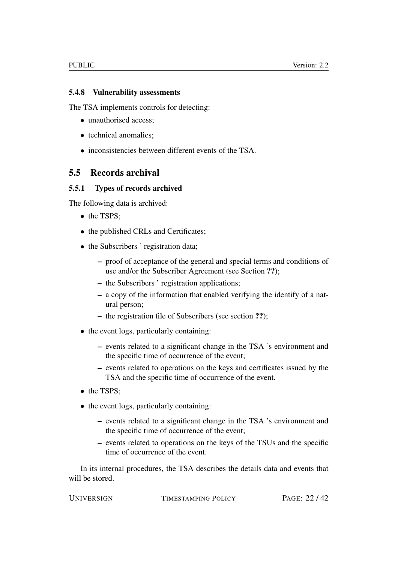#### <span id="page-21-0"></span>5.4.8 Vulnerability assessments

The TSA implements controls for detecting:

- unauthorised access:
- technical anomalies;
- inconsistencies between different events of the TSA.

## <span id="page-21-1"></span>5.5 Records archival

#### <span id="page-21-2"></span>5.5.1 Types of records archived

The following data is archived:

- the TSPS:
- the published CRLs and Certificates;
- the Subscribers ' registration data:
	- proof of acceptance of the general and special terms and conditions of use and/or the Subscriber Agreement (see Section ??);
	- the Subscribers ' registration applications;
	- a copy of the information that enabled verifying the identify of a natural person;
	- the registration file of Subscribers (see section ??);
- the event logs, particularly containing:
	- events related to a significant change in the TSA 's environment and the specific time of occurrence of the event;
	- events related to operations on the keys and certificates issued by the TSA and the specific time of occurrence of the event.
- the TSPS:
- the event logs, particularly containing:
	- events related to a significant change in the TSA 's environment and the specific time of occurrence of the event;
	- events related to operations on the keys of the TSUs and the specific time of occurrence of the event.

In its internal procedures, the TSA describes the details data and events that will be stored.

| UNIVERSIGN | TIMESTAMPING POLICY | PAGE: 22/42 |
|------------|---------------------|-------------|
|            |                     |             |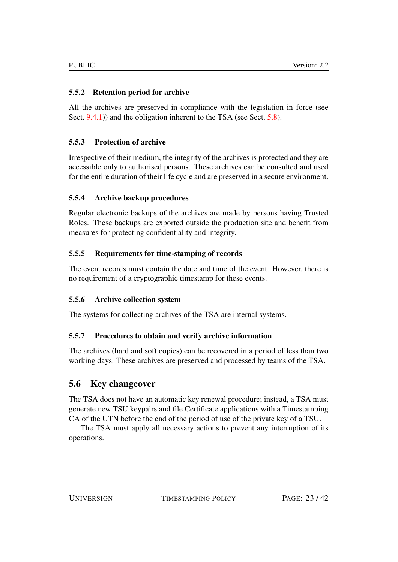## <span id="page-22-0"></span>5.5.2 Retention period for archive

All the archives are preserved in compliance with the legislation in force (see Sect. [9.4.1\)](#page-34-3)) and the obligation inherent to the TSA (see Sect. [5.8\)](#page-24-0).

## <span id="page-22-1"></span>5.5.3 Protection of archive

Irrespective of their medium, the integrity of the archives is protected and they are accessible only to authorised persons. These archives can be consulted and used for the entire duration of their life cycle and are preserved in a secure environment.

#### <span id="page-22-2"></span>5.5.4 Archive backup procedures

Regular electronic backups of the archives are made by persons having Trusted Roles. These backups are exported outside the production site and benefit from measures for protecting confidentiality and integrity.

## <span id="page-22-3"></span>5.5.5 Requirements for time-stamping of records

The event records must contain the date and time of the event. However, there is no requirement of a cryptographic timestamp for these events.

#### <span id="page-22-4"></span>5.5.6 Archive collection system

The systems for collecting archives of the TSA are internal systems.

#### <span id="page-22-5"></span>5.5.7 Procedures to obtain and verify archive information

The archives (hard and soft copies) can be recovered in a period of less than two working days. These archives are preserved and processed by teams of the TSA.

## <span id="page-22-6"></span>5.6 Key changeover

The TSA does not have an automatic key renewal procedure; instead, a TSA must generate new TSU keypairs and file Certificate applications with a Timestamping CA of the UTN before the end of the period of use of the private key of a TSU.

The TSA must apply all necessary actions to prevent any interruption of its operations.

UNIVERSIGN TIMESTAMPING POLICY PAGE: 23/42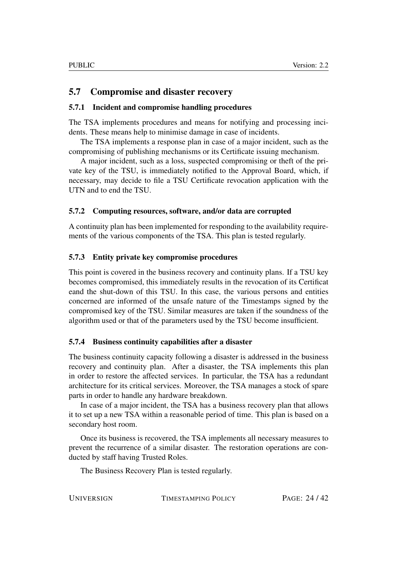## <span id="page-23-0"></span>5.7 Compromise and disaster recovery

#### <span id="page-23-1"></span>5.7.1 Incident and compromise handling procedures

The TSA implements procedures and means for notifying and processing incidents. These means help to minimise damage in case of incidents.

The TSA implements a response plan in case of a major incident, such as the compromising of publishing mechanisms or its Certificate issuing mechanism.

A major incident, such as a loss, suspected compromising or theft of the private key of the TSU, is immediately notified to the Approval Board, which, if necessary, may decide to file a TSU Certificate revocation application with the UTN and to end the TSU.

#### <span id="page-23-2"></span>5.7.2 Computing resources, software, and/or data are corrupted

A continuity plan has been implemented for responding to the availability requirements of the various components of the TSA. This plan is tested regularly.

#### <span id="page-23-3"></span>5.7.3 Entity private key compromise procedures

This point is covered in the business recovery and continuity plans. If a TSU key becomes compromised, this immediately results in the revocation of its Certificat eand the shut-down of this TSU. In this case, the various persons and entities concerned are informed of the unsafe nature of the Timestamps signed by the compromised key of the TSU. Similar measures are taken if the soundness of the algorithm used or that of the parameters used by the TSU become insufficient.

#### <span id="page-23-4"></span>5.7.4 Business continuity capabilities after a disaster

The business continuity capacity following a disaster is addressed in the business recovery and continuity plan. After a disaster, the TSA implements this plan in order to restore the affected services. In particular, the TSA has a redundant architecture for its critical services. Moreover, the TSA manages a stock of spare parts in order to handle any hardware breakdown.

In case of a major incident, the TSA has a business recovery plan that allows it to set up a new TSA within a reasonable period of time. This plan is based on a secondary host room.

Once its business is recovered, the TSA implements all necessary measures to prevent the recurrence of a similar disaster. The restoration operations are conducted by staff having Trusted Roles.

The Business Recovery Plan is tested regularly.

UNIVERSIGN TIMESTAMPING POLICY PAGE: 24/42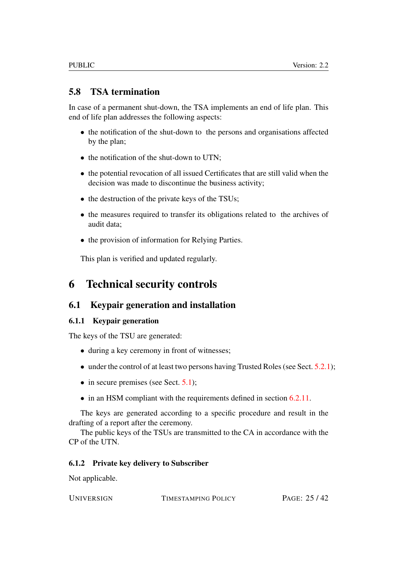## <span id="page-24-0"></span>5.8 TSA termination

In case of a permanent shut-down, the TSA implements an end of life plan. This end of life plan addresses the following aspects:

- the notification of the shut-down to the persons and organisations affected by the plan;
- the notification of the shut-down to UTN;
- the potential revocation of all issued Certificates that are still valid when the decision was made to discontinue the business activity;
- the destruction of the private keys of the TSUs;
- the measures required to transfer its obligations related to the archives of audit data;
- the provision of information for Relying Parties.

This plan is verified and updated regularly.

# <span id="page-24-1"></span>6 Technical security controls

## <span id="page-24-2"></span>6.1 Keypair generation and installation

#### <span id="page-24-3"></span>6.1.1 Keypair generation

The keys of the TSU are generated:

- during a key ceremony in front of witnesses;
- under the control of at least two persons having Trusted Roles (see Sect. [5.2.1\)](#page-17-1);
- $\bullet$  in secure premises (see Sect. [5.1\)](#page-15-2);
- in an HSM compliant with the requirements defined in section [6.2.11.](#page-27-2)

The keys are generated according to a specific procedure and result in the drafting of a report after the ceremony.

The public keys of the TSUs are transmitted to the CA in accordance with the CP of the UTN.

#### <span id="page-24-4"></span>6.1.2 Private key delivery to Subscriber

Not applicable.

UNIVERSIGN TIMESTAMPING POLICY PAGE: 25/42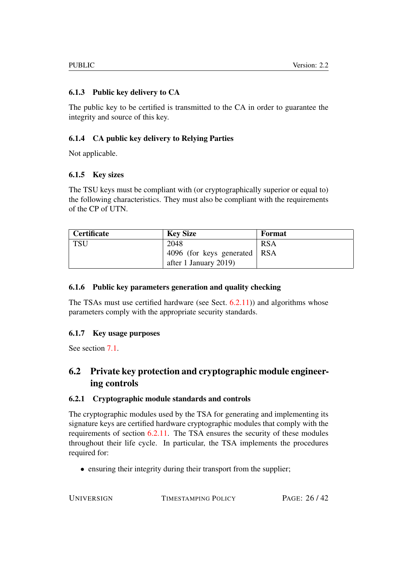## <span id="page-25-0"></span>6.1.3 Public key delivery to CA

The public key to be certified is transmitted to the CA in order to guarantee the integrity and source of this key.

## <span id="page-25-1"></span>6.1.4 CA public key delivery to Relying Parties

Not applicable.

## <span id="page-25-2"></span>6.1.5 Key sizes

The TSU keys must be compliant with (or cryptographically superior or equal to) the following characteristics. They must also be compliant with the requirements of the CP of UTN.

| <b>Certificate</b> | <b>Key Size</b>                | Format     |
|--------------------|--------------------------------|------------|
| TSU                | 2048                           | <b>RSA</b> |
|                    | 4096 (for keys generated   RSA |            |
|                    | after 1 January 2019)          |            |

#### <span id="page-25-3"></span>6.1.6 Public key parameters generation and quality checking

The TSAs must use certified hardware (see Sect. [6.2.11\)](#page-27-2)) and algorithms whose parameters comply with the appropriate security standards.

#### <span id="page-25-4"></span>6.1.7 Key usage purposes

See section [7.1.](#page-30-2)

# <span id="page-25-5"></span>6.2 Private key protection and cryptographic module engineering controls

#### <span id="page-25-6"></span>6.2.1 Cryptographic module standards and controls

The cryptographic modules used by the TSA for generating and implementing its signature keys are certified hardware cryptographic modules that comply with the requirements of section [6.2.11.](#page-27-2) The TSA ensures the security of these modules throughout their life cycle. In particular, the TSA implements the procedures required for:

• ensuring their integrity during their transport from the supplier;

UNIVERSIGN TIMESTAMPING POLICY PAGE: 26/42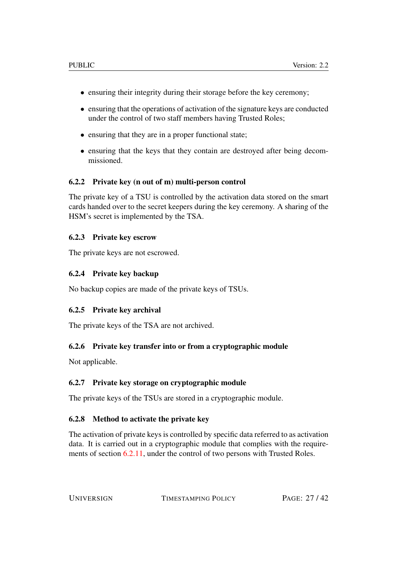- ensuring their integrity during their storage before the key ceremony;
- ensuring that the operations of activation of the signature keys are conducted under the control of two staff members having Trusted Roles;
- ensuring that they are in a proper functional state;
- ensuring that the keys that they contain are destroyed after being decommissioned.

#### <span id="page-26-0"></span>6.2.2 Private key (n out of m) multi-person control

The private key of a TSU is controlled by the activation data stored on the smart cards handed over to the secret keepers during the key ceremony. A sharing of the HSM's secret is implemented by the TSA.

#### <span id="page-26-1"></span>6.2.3 Private key escrow

The private keys are not escrowed.

#### <span id="page-26-2"></span>6.2.4 Private key backup

No backup copies are made of the private keys of TSUs.

#### <span id="page-26-3"></span>6.2.5 Private key archival

The private keys of the TSA are not archived.

#### <span id="page-26-4"></span>6.2.6 Private key transfer into or from a cryptographic module

Not applicable.

#### <span id="page-26-5"></span>6.2.7 Private key storage on cryptographic module

The private keys of the TSUs are stored in a cryptographic module.

#### <span id="page-26-6"></span>6.2.8 Method to activate the private key

The activation of private keys is controlled by specific data referred to as activation data. It is carried out in a cryptographic module that complies with the requirements of section [6.2.11,](#page-27-2) under the control of two persons with Trusted Roles.

UNIVERSIGN TIMESTAMPING POLICY PAGE: 27/42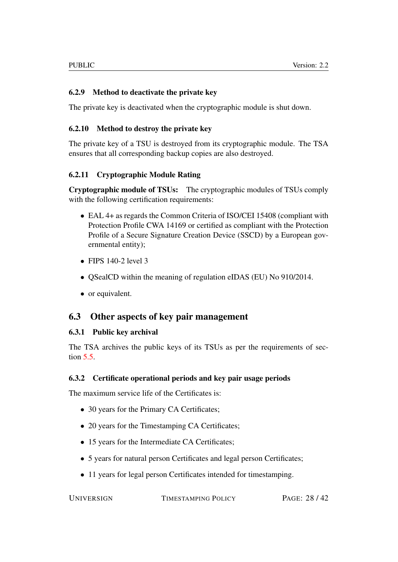### <span id="page-27-0"></span>6.2.9 Method to deactivate the private key

The private key is deactivated when the cryptographic module is shut down.

#### <span id="page-27-1"></span>6.2.10 Method to destroy the private key

The private key of a TSU is destroyed from its cryptographic module. The TSA ensures that all corresponding backup copies are also destroyed.

#### <span id="page-27-2"></span>6.2.11 Cryptographic Module Rating

Cryptographic module of TSUs: The cryptographic modules of TSUs comply with the following certification requirements:

- EAL 4+ as regards the Common Criteria of ISO/CEI 15408 (compliant with Protection Profile CWA 14169 or certified as compliant with the Protection Profile of a Secure Signature Creation Device (SSCD) by a European governmental entity);
- FIPS  $140-2$  level 3
- OSealCD within the meaning of regulation eIDAS (EU) No 910/2014.
- or equivalent.

## <span id="page-27-3"></span>6.3 Other aspects of key pair management

#### <span id="page-27-4"></span>6.3.1 Public key archival

The TSA archives the public keys of its TSUs as per the requirements of section [5.5.](#page-21-1)

#### <span id="page-27-5"></span>6.3.2 Certificate operational periods and key pair usage periods

The maximum service life of the Certificates is:

- 30 years for the Primary CA Certificates;
- 20 years for the Timestamping CA Certificates;
- 15 years for the Intermediate CA Certificates;
- 5 years for natural person Certificates and legal person Certificates;
- 11 years for legal person Certificates intended for timestamping.

UNIVERSIGN TIMESTAMPING POLICY PAGE: 28/42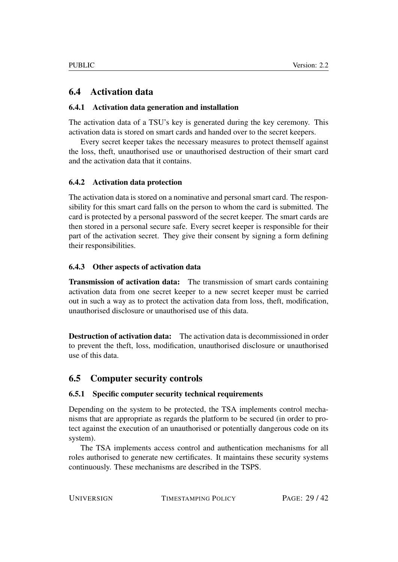## <span id="page-28-0"></span>6.4 Activation data

#### <span id="page-28-1"></span>6.4.1 Activation data generation and installation

The activation data of a TSU's key is generated during the key ceremony. This activation data is stored on smart cards and handed over to the secret keepers.

Every secret keeper takes the necessary measures to protect themself against the loss, theft, unauthorised use or unauthorised destruction of their smart card and the activation data that it contains.

#### <span id="page-28-2"></span>6.4.2 Activation data protection

The activation data is stored on a nominative and personal smart card. The responsibility for this smart card falls on the person to whom the card is submitted. The card is protected by a personal password of the secret keeper. The smart cards are then stored in a personal secure safe. Every secret keeper is responsible for their part of the activation secret. They give their consent by signing a form defining their responsibilities.

#### <span id="page-28-3"></span>6.4.3 Other aspects of activation data

Transmission of activation data: The transmission of smart cards containing activation data from one secret keeper to a new secret keeper must be carried out in such a way as to protect the activation data from loss, theft, modification, unauthorised disclosure or unauthorised use of this data.

Destruction of activation data: The activation data is decommissioned in order to prevent the theft, loss, modification, unauthorised disclosure or unauthorised use of this data.

## <span id="page-28-4"></span>6.5 Computer security controls

#### <span id="page-28-5"></span>6.5.1 Specific computer security technical requirements

Depending on the system to be protected, the TSA implements control mechanisms that are appropriate as regards the platform to be secured (in order to protect against the execution of an unauthorised or potentially dangerous code on its system).

The TSA implements access control and authentication mechanisms for all roles authorised to generate new certificates. It maintains these security systems continuously. These mechanisms are described in the TSPS.

UNIVERSIGN TIMESTAMPING POLICY PAGE: 29/42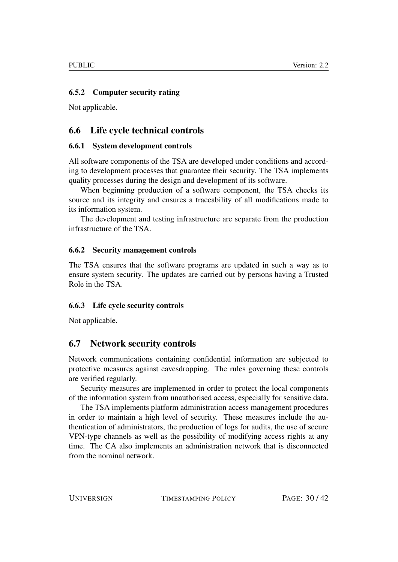#### <span id="page-29-0"></span>6.5.2 Computer security rating

Not applicable.

## <span id="page-29-1"></span>6.6 Life cycle technical controls

#### <span id="page-29-2"></span>6.6.1 System development controls

All software components of the TSA are developed under conditions and according to development processes that guarantee their security. The TSA implements quality processes during the design and development of its software.

When beginning production of a software component, the TSA checks its source and its integrity and ensures a traceability of all modifications made to its information system.

The development and testing infrastructure are separate from the production infrastructure of the TSA.

#### <span id="page-29-3"></span>6.6.2 Security management controls

The TSA ensures that the software programs are updated in such a way as to ensure system security. The updates are carried out by persons having a Trusted Role in the TSA.

#### <span id="page-29-4"></span>6.6.3 Life cycle security controls

Not applicable.

## <span id="page-29-5"></span>6.7 Network security controls

Network communications containing confidential information are subjected to protective measures against eavesdropping. The rules governing these controls are verified regularly.

Security measures are implemented in order to protect the local components of the information system from unauthorised access, especially for sensitive data.

The TSA implements platform administration access management procedures in order to maintain a high level of security. These measures include the authentication of administrators, the production of logs for audits, the use of secure VPN-type channels as well as the possibility of modifying access rights at any time. The CA also implements an administration network that is disconnected from the nominal network.

UNIVERSIGN TIMESTAMPING POLICY PAGE: 30/42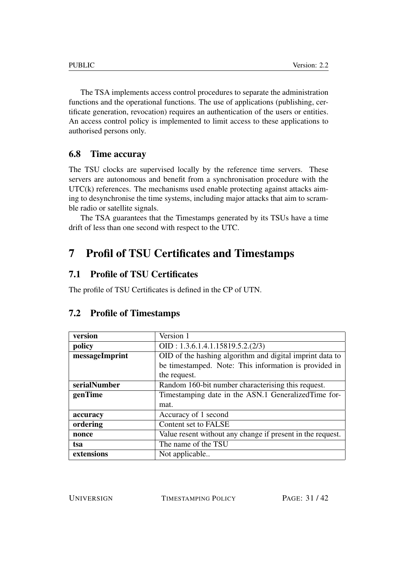The TSA implements access control procedures to separate the administration functions and the operational functions. The use of applications (publishing, certificate generation, revocation) requires an authentication of the users or entities. An access control policy is implemented to limit access to these applications to authorised persons only.

## <span id="page-30-0"></span>6.8 Time accuray

The TSU clocks are supervised locally by the reference time servers. These servers are autonomous and benefit from a synchronisation procedure with the  $UTC(k)$  references. The mechanisms used enable protecting against attacks aiming to desynchronise the time systems, including major attacks that aim to scramble radio or satellite signals.

The TSA guarantees that the Timestamps generated by its TSUs have a time drift of less than one second with respect to the UTC.

# <span id="page-30-1"></span>7 Profil of TSU Certificates and Timestamps

## <span id="page-30-2"></span>7.1 Profile of TSU Certificates

The profile of TSU Certificates is defined in the CP of UTN.

| version        | Version 1                                                  |  |
|----------------|------------------------------------------------------------|--|
| policy         | OID: 1.3.6.1.4.1.15819.5.2.(2/3)                           |  |
| messageImprint | OID of the hashing algorithm and digital imprint data to   |  |
|                | be timestamped. Note: This information is provided in      |  |
|                | the request.                                               |  |
| serialNumber   | Random 160-bit number characterising this request.         |  |
| genTime        | Timestamping date in the ASN.1 Generalized Time for-       |  |
|                | mat.                                                       |  |
| accuracy       | Accuracy of 1 second                                       |  |
| ordering       | Content set to FALSE                                       |  |
| nonce          | Value resent without any change if present in the request. |  |
| tsa            | The name of the TSU                                        |  |
| extensions     | Not applicable                                             |  |

## <span id="page-30-3"></span>7.2 Profile of Timestamps

UNIVERSIGN TIMESTAMPING POLICY PAGE: 31/42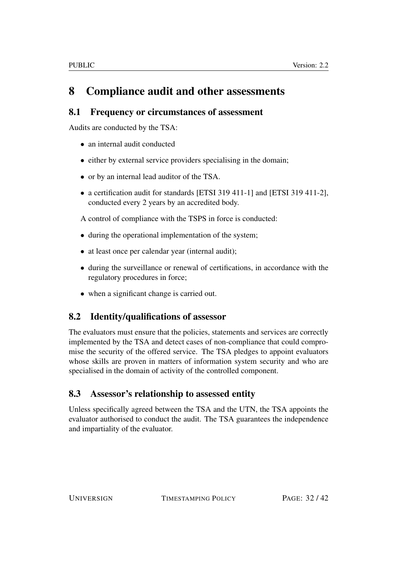# <span id="page-31-0"></span>8 Compliance audit and other assessments

## <span id="page-31-1"></span>8.1 Frequency or circumstances of assessment

Audits are conducted by the TSA:

- an internal audit conducted
- either by external service providers specialising in the domain;
- or by an internal lead auditor of the TSA.
- a certification audit for standards [ETSI 319 411-1] and [ETSI 319 411-2], conducted every 2 years by an accredited body.

A control of compliance with the TSPS in force is conducted:

- during the operational implementation of the system;
- at least once per calendar year (internal audit);
- during the surveillance or renewal of certifications, in accordance with the regulatory procedures in force;
- when a significant change is carried out.

## <span id="page-31-2"></span>8.2 Identity/qualifications of assessor

The evaluators must ensure that the policies, statements and services are correctly implemented by the TSA and detect cases of non-compliance that could compromise the security of the offered service. The TSA pledges to appoint evaluators whose skills are proven in matters of information system security and who are specialised in the domain of activity of the controlled component.

# <span id="page-31-3"></span>8.3 Assessor's relationship to assessed entity

Unless specifically agreed between the TSA and the UTN, the TSA appoints the evaluator authorised to conduct the audit. The TSA guarantees the independence and impartiality of the evaluator.

UNIVERSIGN TIMESTAMPING POLICY PAGE: 32/42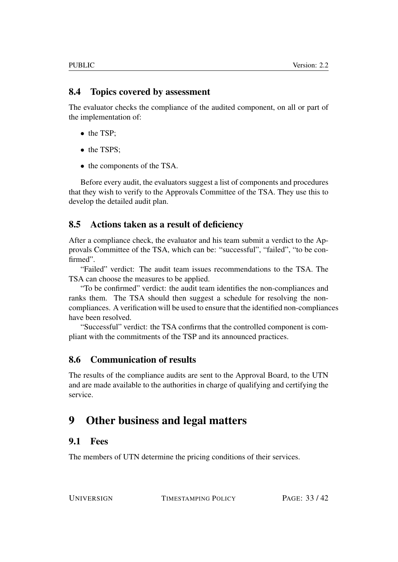## <span id="page-32-0"></span>8.4 Topics covered by assessment

The evaluator checks the compliance of the audited component, on all or part of the implementation of:

- the TSP;
- the TSPS:
- the components of the TSA.

Before every audit, the evaluators suggest a list of components and procedures that they wish to verify to the Approvals Committee of the TSA. They use this to develop the detailed audit plan.

## <span id="page-32-1"></span>8.5 Actions taken as a result of deficiency

After a compliance check, the evaluator and his team submit a verdict to the Approvals Committee of the TSA, which can be: "successful", "failed", "to be confirmed".

"Failed" verdict: The audit team issues recommendations to the TSA. The TSA can choose the measures to be applied.

"To be confirmed" verdict: the audit team identifies the non-compliances and ranks them. The TSA should then suggest a schedule for resolving the noncompliances. A verification will be used to ensure that the identified non-compliances have been resolved.

"Successful" verdict: the TSA confirms that the controlled component is compliant with the commitments of the TSP and its announced practices.

## <span id="page-32-2"></span>8.6 Communication of results

The results of the compliance audits are sent to the Approval Board, to the UTN and are made available to the authorities in charge of qualifying and certifying the service.

# <span id="page-32-3"></span>9 Other business and legal matters

## <span id="page-32-4"></span>9.1 Fees

The members of UTN determine the pricing conditions of their services.

UNIVERSIGN TIMESTAMPING POLICY PAGE: 33/42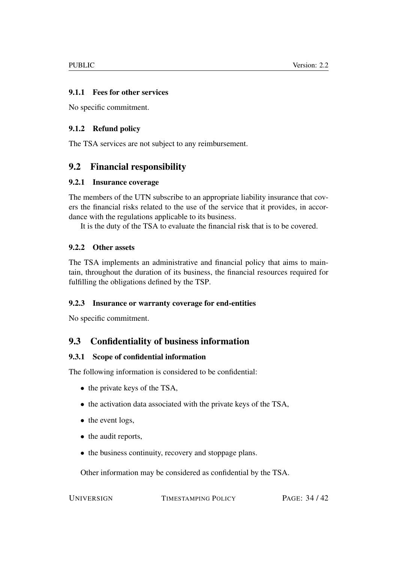#### <span id="page-33-0"></span>9.1.1 Fees for other services

No specific commitment.

#### <span id="page-33-1"></span>9.1.2 Refund policy

The TSA services are not subject to any reimbursement.

## <span id="page-33-2"></span>9.2 Financial responsibility

#### <span id="page-33-3"></span>9.2.1 Insurance coverage

The members of the UTN subscribe to an appropriate liability insurance that covers the financial risks related to the use of the service that it provides, in accordance with the regulations applicable to its business.

It is the duty of the TSA to evaluate the financial risk that is to be covered.

#### <span id="page-33-4"></span>9.2.2 Other assets

The TSA implements an administrative and financial policy that aims to maintain, throughout the duration of its business, the financial resources required for fulfilling the obligations defined by the TSP.

#### <span id="page-33-5"></span>9.2.3 Insurance or warranty coverage for end-entities

No specific commitment.

## <span id="page-33-6"></span>9.3 Confidentiality of business information

#### <span id="page-33-7"></span>9.3.1 Scope of confidential information

The following information is considered to be confidential:

- the private keys of the TSA,
- the activation data associated with the private keys of the TSA,
- the event logs,
- the audit reports.
- the business continuity, recovery and stoppage plans.

Other information may be considered as confidential by the TSA.

UNIVERSIGN TIMESTAMPING POLICY PAGE: 34/42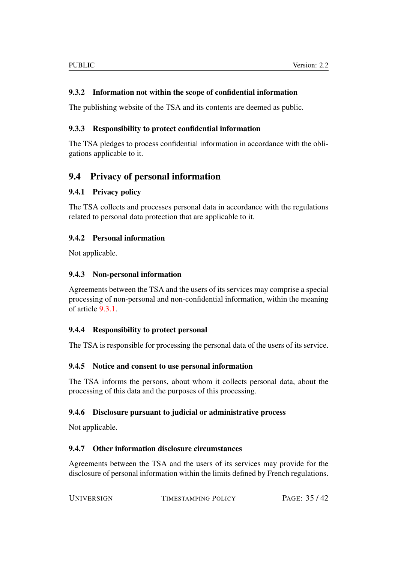#### <span id="page-34-0"></span>9.3.2 Information not within the scope of confidential information

The publishing website of the TSA and its contents are deemed as public.

#### <span id="page-34-1"></span>9.3.3 Responsibility to protect confidential information

The TSA pledges to process confidential information in accordance with the obligations applicable to it.

## <span id="page-34-2"></span>9.4 Privacy of personal information

#### <span id="page-34-3"></span>9.4.1 Privacy policy

The TSA collects and processes personal data in accordance with the regulations related to personal data protection that are applicable to it.

#### <span id="page-34-4"></span>9.4.2 Personal information

Not applicable.

#### <span id="page-34-5"></span>9.4.3 Non-personal information

Agreements between the TSA and the users of its services may comprise a special processing of non-personal and non-confidential information, within the meaning of article [9.3.1.](#page-33-7)

#### <span id="page-34-6"></span>9.4.4 Responsibility to protect personal

The TSA is responsible for processing the personal data of the users of its service.

#### <span id="page-34-7"></span>9.4.5 Notice and consent to use personal information

The TSA informs the persons, about whom it collects personal data, about the processing of this data and the purposes of this processing.

#### <span id="page-34-8"></span>9.4.6 Disclosure pursuant to judicial or administrative process

Not applicable.

#### <span id="page-34-9"></span>9.4.7 Other information disclosure circumstances

Agreements between the TSA and the users of its services may provide for the disclosure of personal information within the limits defined by French regulations.

| <b>UNIVERSIGN</b> | TIMESTAMPING POLICY | PAGE: 35/42 |
|-------------------|---------------------|-------------|
|                   |                     |             |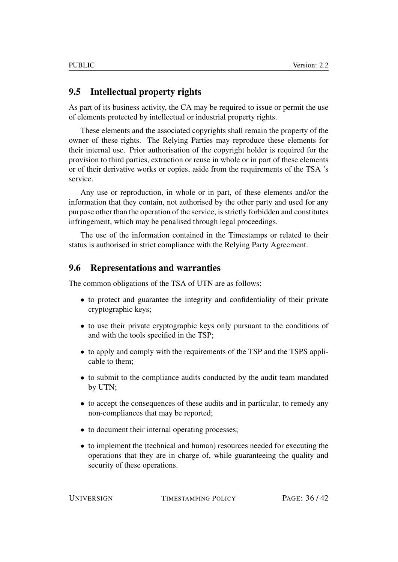## <span id="page-35-0"></span>9.5 Intellectual property rights

As part of its business activity, the CA may be required to issue or permit the use of elements protected by intellectual or industrial property rights.

These elements and the associated copyrights shall remain the property of the owner of these rights. The Relying Parties may reproduce these elements for their internal use. Prior authorisation of the copyright holder is required for the provision to third parties, extraction or reuse in whole or in part of these elements or of their derivative works or copies, aside from the requirements of the TSA 's service.

Any use or reproduction, in whole or in part, of these elements and/or the information that they contain, not authorised by the other party and used for any purpose other than the operation of the service, is strictly forbidden and constitutes infringement, which may be penalised through legal proceedings.

The use of the information contained in the Timestamps or related to their status is authorised in strict compliance with the Relying Party Agreement.

#### <span id="page-35-1"></span>9.6 Representations and warranties

The common obligations of the TSA of UTN are as follows:

- to protect and guarantee the integrity and confidentiality of their private cryptographic keys;
- to use their private cryptographic keys only pursuant to the conditions of and with the tools specified in the TSP;
- to apply and comply with the requirements of the TSP and the TSPS applicable to them;
- to submit to the compliance audits conducted by the audit team mandated by UTN;
- to accept the consequences of these audits and in particular, to remedy any non-compliances that may be reported;
- to document their internal operating processes;
- to implement the (technical and human) resources needed for executing the operations that they are in charge of, while guaranteeing the quality and security of these operations.

UNIVERSIGN TIMESTAMPING POLICY PAGE: 36/42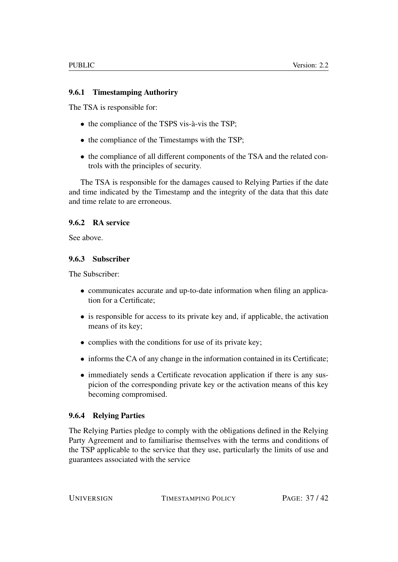#### <span id="page-36-0"></span>9.6.1 Timestamping Authoriry

The TSA is responsible for:

- the compliance of the TSPS vis-à-vis the TSP;
- the compliance of the Timestamps with the TSP;
- the compliance of all different components of the TSA and the related controls with the principles of security.

The TSA is responsible for the damages caused to Relying Parties if the date and time indicated by the Timestamp and the integrity of the data that this date and time relate to are erroneous.

#### <span id="page-36-1"></span>9.6.2 RA service

See above.

#### <span id="page-36-2"></span>9.6.3 Subscriber

The Subscriber:

- communicates accurate and up-to-date information when filing an application for a Certificate;
- is responsible for access to its private key and, if applicable, the activation means of its key;
- complies with the conditions for use of its private key;
- informs the CA of any change in the information contained in its Certificate;
- immediately sends a Certificate revocation application if there is any suspicion of the corresponding private key or the activation means of this key becoming compromised.

#### <span id="page-36-3"></span>9.6.4 Relying Parties

The Relying Parties pledge to comply with the obligations defined in the Relying Party Agreement and to familiarise themselves with the terms and conditions of the TSP applicable to the service that they use, particularly the limits of use and guarantees associated with the service

UNIVERSIGN TIMESTAMPING POLICY PAGE: 37/42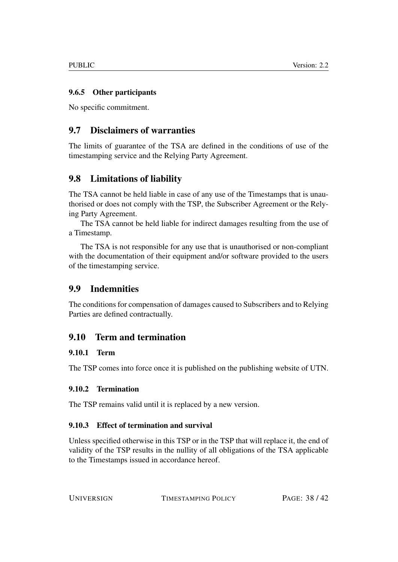## <span id="page-37-0"></span>9.6.5 Other participants

No specific commitment.

## <span id="page-37-1"></span>9.7 Disclaimers of warranties

The limits of guarantee of the TSA are defined in the conditions of use of the timestamping service and the Relying Party Agreement.

# <span id="page-37-2"></span>9.8 Limitations of liability

The TSA cannot be held liable in case of any use of the Timestamps that is unauthorised or does not comply with the TSP, the Subscriber Agreement or the Relying Party Agreement.

The TSA cannot be held liable for indirect damages resulting from the use of a Timestamp.

The TSA is not responsible for any use that is unauthorised or non-compliant with the documentation of their equipment and/or software provided to the users of the timestamping service.

## <span id="page-37-3"></span>9.9 Indemnities

The conditions for compensation of damages caused to Subscribers and to Relying Parties are defined contractually.

## <span id="page-37-4"></span>9.10 Term and termination

#### <span id="page-37-5"></span>9.10.1 Term

The TSP comes into force once it is published on the publishing website of UTN.

#### <span id="page-37-6"></span>9.10.2 Termination

The TSP remains valid until it is replaced by a new version.

#### <span id="page-37-7"></span>9.10.3 Effect of termination and survival

Unless specified otherwise in this TSP or in the TSP that will replace it, the end of validity of the TSP results in the nullity of all obligations of the TSA applicable to the Timestamps issued in accordance hereof.

UNIVERSIGN TIMESTAMPING POLICY PAGE: 38/42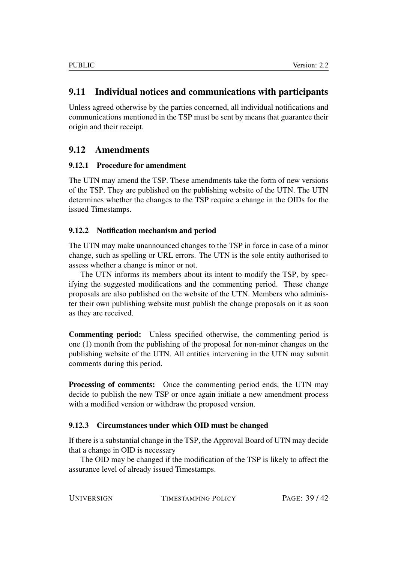## <span id="page-38-0"></span>9.11 Individual notices and communications with participants

Unless agreed otherwise by the parties concerned, all individual notifications and communications mentioned in the TSP must be sent by means that guarantee their origin and their receipt.

## <span id="page-38-1"></span>9.12 Amendments

#### <span id="page-38-2"></span>9.12.1 Procedure for amendment

The UTN may amend the TSP. These amendments take the form of new versions of the TSP. They are published on the publishing website of the UTN. The UTN determines whether the changes to the TSP require a change in the OIDs for the issued Timestamps.

#### <span id="page-38-3"></span>9.12.2 Notification mechanism and period

The UTN may make unannounced changes to the TSP in force in case of a minor change, such as spelling or URL errors. The UTN is the sole entity authorised to assess whether a change is minor or not.

The UTN informs its members about its intent to modify the TSP, by specifying the suggested modifications and the commenting period. These change proposals are also published on the website of the UTN. Members who administer their own publishing website must publish the change proposals on it as soon as they are received.

Commenting period: Unless specified otherwise, the commenting period is one (1) month from the publishing of the proposal for non-minor changes on the publishing website of the UTN. All entities intervening in the UTN may submit comments during this period.

Processing of comments: Once the commenting period ends, the UTN may decide to publish the new TSP or once again initiate a new amendment process with a modified version or withdraw the proposed version.

#### <span id="page-38-4"></span>9.12.3 Circumstances under which OID must be changed

If there is a substantial change in the TSP, the Approval Board of UTN may decide that a change in OID is necessary

The OID may be changed if the modification of the TSP is likely to affect the assurance level of already issued Timestamps.

UNIVERSIGN TIMESTAMPING POLICY PAGE: 39/42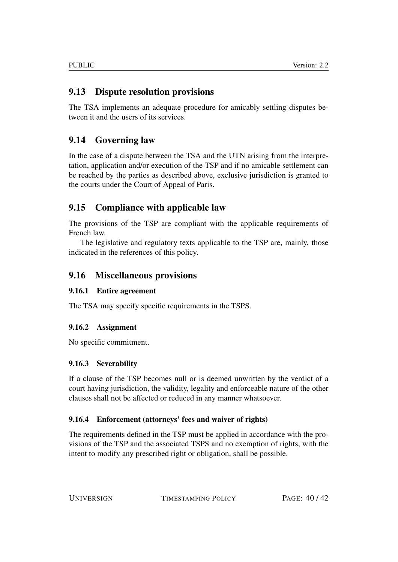# <span id="page-39-0"></span>9.13 Dispute resolution provisions

The TSA implements an adequate procedure for amicably settling disputes between it and the users of its services.

# <span id="page-39-1"></span>9.14 Governing law

In the case of a dispute between the TSA and the UTN arising from the interpretation, application and/or execution of the TSP and if no amicable settlement can be reached by the parties as described above, exclusive jurisdiction is granted to the courts under the Court of Appeal of Paris.

# <span id="page-39-2"></span>9.15 Compliance with applicable law

The provisions of the TSP are compliant with the applicable requirements of French law.

The legislative and regulatory texts applicable to the TSP are, mainly, those indicated in the references of this policy.

## <span id="page-39-3"></span>9.16 Miscellaneous provisions

## <span id="page-39-4"></span>9.16.1 Entire agreement

The TSA may specify specific requirements in the TSPS.

## <span id="page-39-5"></span>9.16.2 Assignment

No specific commitment.

## <span id="page-39-6"></span>9.16.3 Severability

If a clause of the TSP becomes null or is deemed unwritten by the verdict of a court having jurisdiction, the validity, legality and enforceable nature of the other clauses shall not be affected or reduced in any manner whatsoever.

## <span id="page-39-7"></span>9.16.4 Enforcement (attorneys' fees and waiver of rights)

The requirements defined in the TSP must be applied in accordance with the provisions of the TSP and the associated TSPS and no exemption of rights, with the intent to modify any prescribed right or obligation, shall be possible.

UNIVERSIGN TIMESTAMPING POLICY PAGE:  $40/42$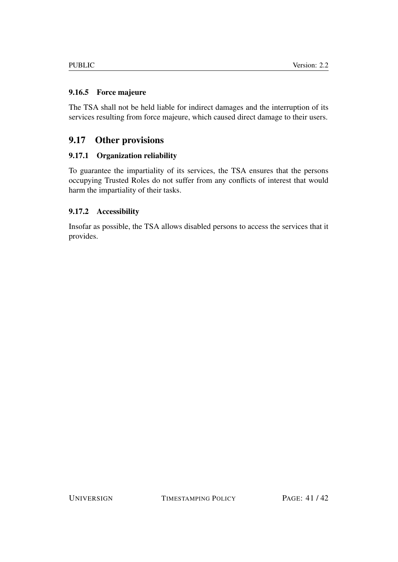## <span id="page-40-0"></span>9.16.5 Force majeure

The TSA shall not be held liable for indirect damages and the interruption of its services resulting from force majeure, which caused direct damage to their users.

## <span id="page-40-1"></span>9.17 Other provisions

## <span id="page-40-2"></span>9.17.1 Organization reliability

To guarantee the impartiality of its services, the TSA ensures that the persons occupying Trusted Roles do not suffer from any conflicts of interest that would harm the impartiality of their tasks.

## <span id="page-40-3"></span>9.17.2 Accessibility

Insofar as possible, the TSA allows disabled persons to access the services that it provides.